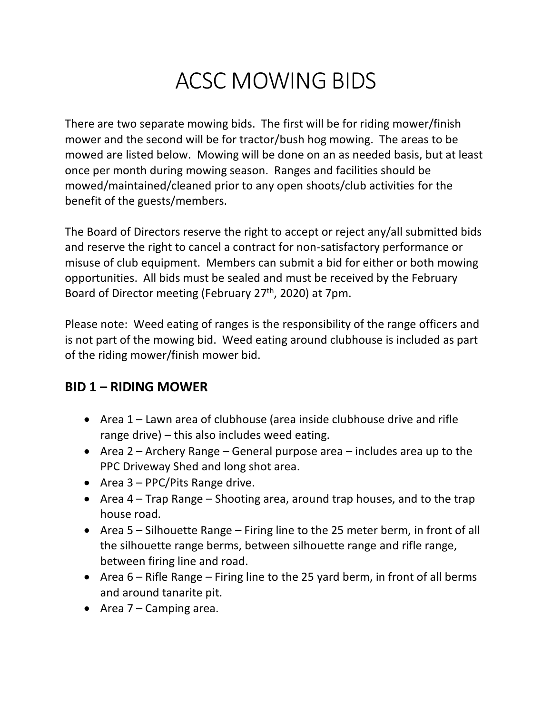# ACSC MOWING BIDS

There are two separate mowing bids. The first will be for riding mower/finish mower and the second will be for tractor/bush hog mowing. The areas to be mowed are listed below. Mowing will be done on an as needed basis, but at least once per month during mowing season. Ranges and facilities should be mowed/maintained/cleaned prior to any open shoots/club activities for the benefit of the guests/members.

The Board of Directors reserve the right to accept or reject any/all submitted bids and reserve the right to cancel a contract for non-satisfactory performance or misuse of club equipment. Members can submit a bid for either or both mowing opportunities. All bids must be sealed and must be received by the February Board of Director meeting (February 27<sup>th</sup>, 2020) at 7pm.

Please note: Weed eating of ranges is the responsibility of the range officers and is not part of the mowing bid. Weed eating around clubhouse is included as part of the riding mower/finish mower bid.

### **BID 1 – RIDING MOWER**

- Area 1 Lawn area of clubhouse (area inside clubhouse drive and rifle range drive) – this also includes weed eating.
- Area 2 Archery Range General purpose area includes area up to the PPC Driveway Shed and long shot area.
- Area 3 PPC/Pits Range drive.
- Area 4 Trap Range Shooting area, around trap houses, and to the trap house road.
- Area 5 Silhouette Range Firing line to the 25 meter berm, in front of all the silhouette range berms, between silhouette range and rifle range, between firing line and road.
- Area 6 Rifle Range Firing line to the 25 yard berm, in front of all berms and around tanarite pit.
- Area 7 Camping area.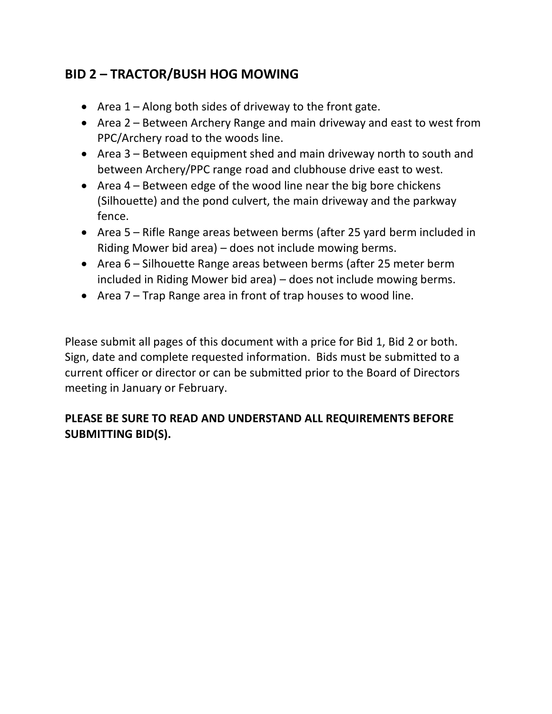## **BID 2 – TRACTOR/BUSH HOG MOWING**

- Area 1 Along both sides of driveway to the front gate.
- Area 2 Between Archery Range and main driveway and east to west from PPC/Archery road to the woods line.
- Area 3 Between equipment shed and main driveway north to south and between Archery/PPC range road and clubhouse drive east to west.
- Area 4 Between edge of the wood line near the big bore chickens (Silhouette) and the pond culvert, the main driveway and the parkway fence.
- Area 5 Rifle Range areas between berms (after 25 yard berm included in Riding Mower bid area) – does not include mowing berms.
- Area 6 Silhouette Range areas between berms (after 25 meter berm included in Riding Mower bid area) – does not include mowing berms.
- Area 7 Trap Range area in front of trap houses to wood line.

Please submit all pages of this document with a price for Bid 1, Bid 2 or both. Sign, date and complete requested information. Bids must be submitted to a current officer or director or can be submitted prior to the Board of Directors meeting in January or February.

#### **PLEASE BE SURE TO READ AND UNDERSTAND ALL REQUIREMENTS BEFORE SUBMITTING BID(S).**